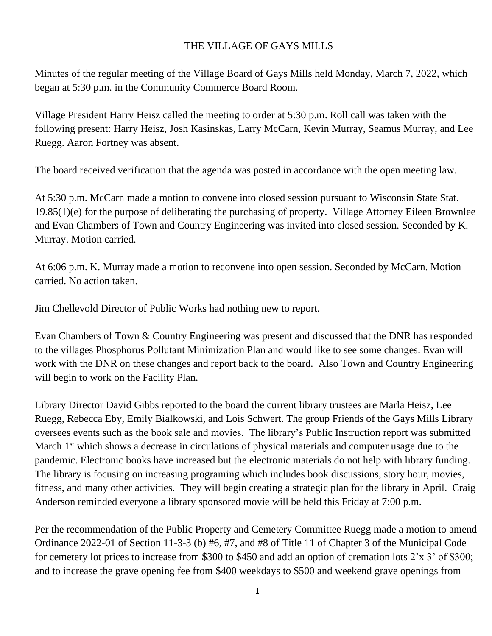## THE VILLAGE OF GAYS MILLS

Minutes of the regular meeting of the Village Board of Gays Mills held Monday, March 7, 2022, which began at 5:30 p.m. in the Community Commerce Board Room.

Village President Harry Heisz called the meeting to order at 5:30 p.m. Roll call was taken with the following present: Harry Heisz, Josh Kasinskas, Larry McCarn, Kevin Murray, Seamus Murray, and Lee Ruegg. Aaron Fortney was absent.

The board received verification that the agenda was posted in accordance with the open meeting law.

At 5:30 p.m. McCarn made a motion to convene into closed session pursuant to Wisconsin State Stat. 19.85(1)(e) for the purpose of deliberating the purchasing of property. Village Attorney Eileen Brownlee and Evan Chambers of Town and Country Engineering was invited into closed session. Seconded by K. Murray. Motion carried.

At 6:06 p.m. K. Murray made a motion to reconvene into open session. Seconded by McCarn. Motion carried. No action taken.

Jim Chellevold Director of Public Works had nothing new to report.

Evan Chambers of Town & Country Engineering was present and discussed that the DNR has responded to the villages Phosphorus Pollutant Minimization Plan and would like to see some changes. Evan will work with the DNR on these changes and report back to the board. Also Town and Country Engineering will begin to work on the Facility Plan.

Library Director David Gibbs reported to the board the current library trustees are Marla Heisz, Lee Ruegg, Rebecca Eby, Emily Bialkowski, and Lois Schwert. The group Friends of the Gays Mills Library oversees events such as the book sale and movies. The library's Public Instruction report was submitted March 1<sup>st</sup> which shows a decrease in circulations of physical materials and computer usage due to the pandemic. Electronic books have increased but the electronic materials do not help with library funding. The library is focusing on increasing programing which includes book discussions, story hour, movies, fitness, and many other activities. They will begin creating a strategic plan for the library in April. Craig Anderson reminded everyone a library sponsored movie will be held this Friday at 7:00 p.m.

Per the recommendation of the Public Property and Cemetery Committee Ruegg made a motion to amend Ordinance 2022-01 of Section 11-3-3 (b) #6, #7, and #8 of Title 11 of Chapter 3 of the Municipal Code for cemetery lot prices to increase from \$300 to \$450 and add an option of cremation lots 2'x 3' of \$300; and to increase the grave opening fee from \$400 weekdays to \$500 and weekend grave openings from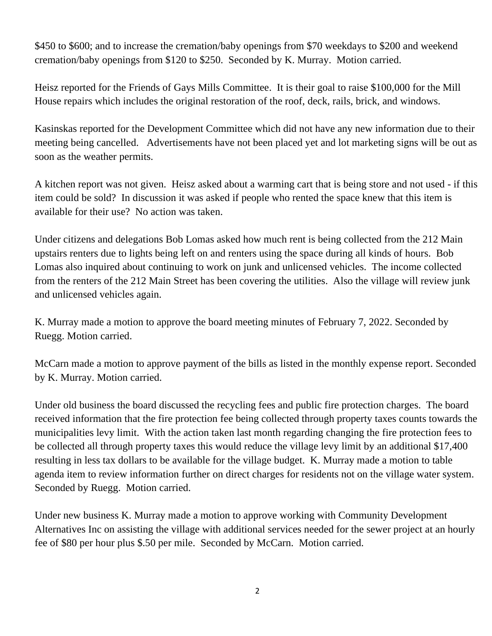\$450 to \$600; and to increase the cremation/baby openings from \$70 weekdays to \$200 and weekend cremation/baby openings from \$120 to \$250. Seconded by K. Murray. Motion carried.

Heisz reported for the Friends of Gays Mills Committee. It is their goal to raise \$100,000 for the Mill House repairs which includes the original restoration of the roof, deck, rails, brick, and windows.

Kasinskas reported for the Development Committee which did not have any new information due to their meeting being cancelled. Advertisements have not been placed yet and lot marketing signs will be out as soon as the weather permits.

A kitchen report was not given. Heisz asked about a warming cart that is being store and not used - if this item could be sold? In discussion it was asked if people who rented the space knew that this item is available for their use? No action was taken.

Under citizens and delegations Bob Lomas asked how much rent is being collected from the 212 Main upstairs renters due to lights being left on and renters using the space during all kinds of hours. Bob Lomas also inquired about continuing to work on junk and unlicensed vehicles. The income collected from the renters of the 212 Main Street has been covering the utilities. Also the village will review junk and unlicensed vehicles again.

K. Murray made a motion to approve the board meeting minutes of February 7, 2022. Seconded by Ruegg. Motion carried.

McCarn made a motion to approve payment of the bills as listed in the monthly expense report. Seconded by K. Murray. Motion carried.

Under old business the board discussed the recycling fees and public fire protection charges. The board received information that the fire protection fee being collected through property taxes counts towards the municipalities levy limit. With the action taken last month regarding changing the fire protection fees to be collected all through property taxes this would reduce the village levy limit by an additional \$17,400 resulting in less tax dollars to be available for the village budget. K. Murray made a motion to table agenda item to review information further on direct charges for residents not on the village water system. Seconded by Ruegg. Motion carried.

Under new business K. Murray made a motion to approve working with Community Development Alternatives Inc on assisting the village with additional services needed for the sewer project at an hourly fee of \$80 per hour plus \$.50 per mile. Seconded by McCarn. Motion carried.